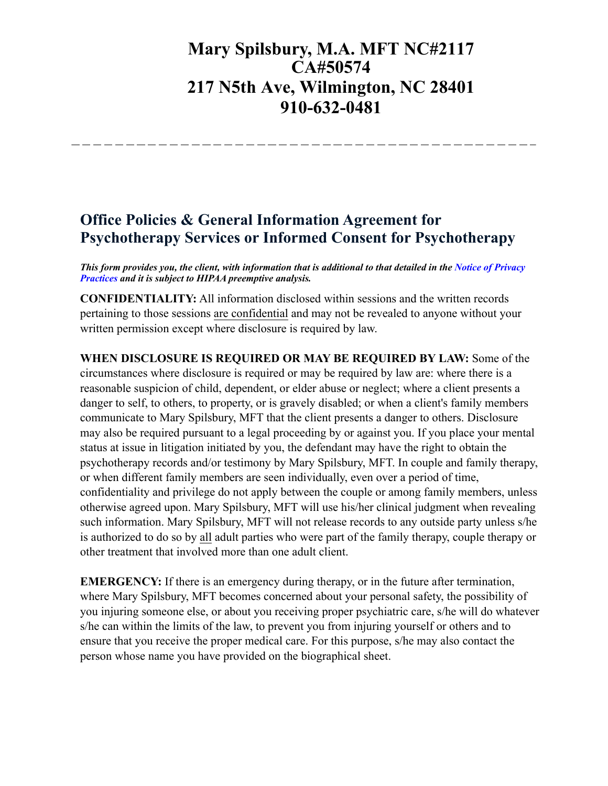## **Mary Spilsbury, M.A. MFT NC#2117 CA#50574 217 N5th Ave, Wilmington, NC 28401 910-632-0481**

## **Office Policies & General Information Agreement for Psychotherapy Services or Informed Consent for Psychotherapy**

*This form provides you, the client, with information that is additional to that detailed in the Notice of Privacy Practices and it is subject to HIPAA preemptive analysis.*

**CONFIDENTIALITY:** All information disclosed within sessions and the written records pertaining to those sessions are confidential and may not be revealed to anyone without your written permission except where disclosure is required by law.

**WHEN DISCLOSURE IS REQUIRED OR MAY BE REQUIRED BY LAW:** Some of the circumstances where disclosure is required or may be required by law are: where there is a reasonable suspicion of child, dependent, or elder abuse or neglect; where a client presents a danger to self, to others, to property, or is gravely disabled; or when a client's family members communicate to Mary Spilsbury, MFT that the client presents a danger to others. Disclosure may also be required pursuant to a legal proceeding by or against you. If you place your mental status at issue in litigation initiated by you, the defendant may have the right to obtain the psychotherapy records and/or testimony by Mary Spilsbury, MFT. In couple and family therapy, or when different family members are seen individually, even over a period of time, confidentiality and privilege do not apply between the couple or among family members, unless otherwise agreed upon. Mary Spilsbury, MFT will use his/her clinical judgment when revealing such information. Mary Spilsbury, MFT will not release records to any outside party unless s/he is authorized to do so by all adult parties who were part of the family therapy, couple therapy or other treatment that involved more than one adult client.

**EMERGENCY:** If there is an emergency during therapy, or in the future after termination, where Mary Spilsbury, MFT becomes concerned about your personal safety, the possibility of you injuring someone else, or about you receiving proper psychiatric care, s/he will do whatever s/he can within the limits of the law, to prevent you from injuring yourself or others and to ensure that you receive the proper medical care. For this purpose, s/he may also contact the person whose name you have provided on the biographical sheet.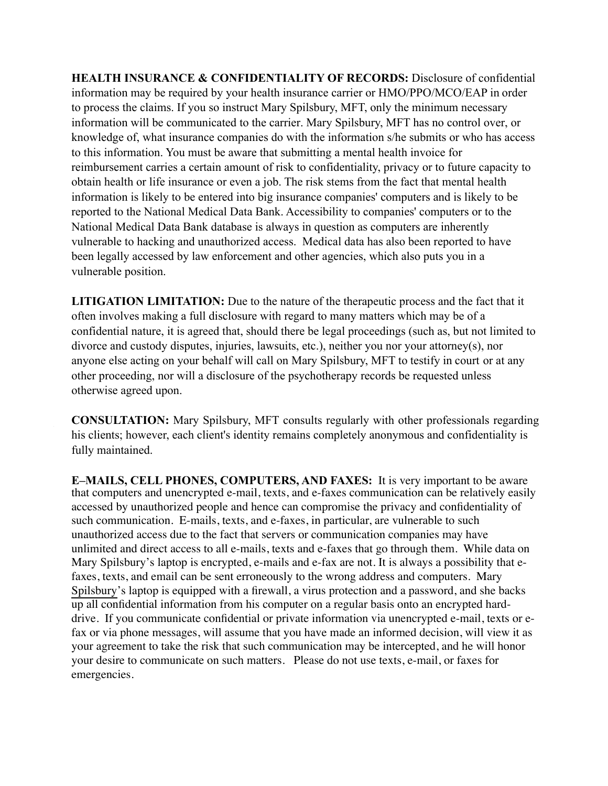**HEALTH INSURANCE & CONFIDENTIALITY OF RECORDS:** Disclosure of confidential information may be required by your health insurance carrier or HMO/PPO/MCO/EAP in order to process the claims. If you so instruct Mary Spilsbury, MFT, only the minimum necessary information will be communicated to the carrier. Mary Spilsbury, MFT has no control over, or knowledge of, what insurance companies do with the information s/he submits or who has access to this information. You must be aware that submitting a mental health invoice for reimbursement carries a certain amount of risk to confidentiality, privacy or to future capacity to obtain health or life insurance or even a job. The risk stems from the fact that mental health information is likely to be entered into big insurance companies' computers and is likely to be reported to the National Medical Data Bank. Accessibility to companies' computers or to the National Medical Data Bank database is always in question as computers are inherently vulnerable to hacking and unauthorized access. Medical data has also been reported to have been legally accessed by law enforcement and other agencies, which also puts you in a vulnerable position.

**LITIGATION LIMITATION:** Due to the nature of the therapeutic process and the fact that it often involves making a full disclosure with regard to many matters which may be of a confidential nature, it is agreed that, should there be legal proceedings (such as, but not limited to divorce and custody disputes, injuries, lawsuits, etc.), neither you nor your attorney(s), nor anyone else acting on your behalf will call on Mary Spilsbury, MFT to testify in court or at any other proceeding, nor will a disclosure of the psychotherapy records be requested unless otherwise agreed upon.

**CONSULTATION:** Mary Spilsbury, MFT consults regularly with other professionals regarding his clients; however, each client's identity remains completely anonymous and confidentiality is fully maintained.

**E–MAILS, CELL PHONES, COMPUTERS, AND FAXES:** It is very important to be aware that computers and unencrypted e-mail, texts, and e-faxes communication can be relatively easily accessed by unauthorized people and hence can compromise the privacy and confidentiality of such communication. E-mails, texts, and e-faxes, in particular, are vulnerable to such unauthorized access due to the fact that servers or communication companies may have unlimited and direct access to all e-mails, texts and e-faxes that go through them. While data on Mary Spilsbury's laptop is encrypted, e-mails and e-fax are not. It is always a possibility that efaxes, texts, and email can be sent erroneously to the wrong address and computers. Mary Spilsbury's laptop is equipped with a firewall, a virus protection and a password, and she backs up all confidential information from his computer on a regular basis onto an encrypted harddrive. If you communicate confidential or private information via unencrypted e-mail, texts or efax or via phone messages, will assume that you have made an informed decision, will view it as your agreement to take the risk that such communication may be intercepted, and he will honor your desire to communicate on such matters. Please do not use texts, e-mail, or faxes for emergencies.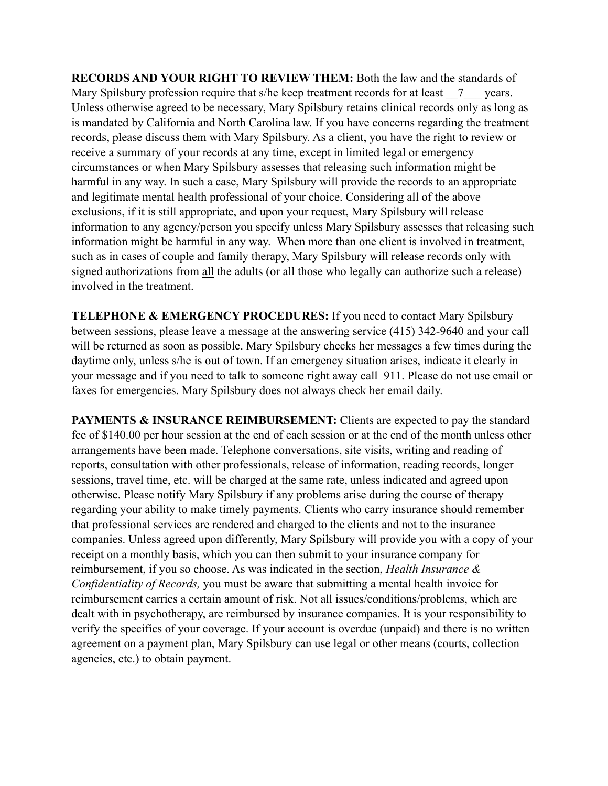**RECORDS AND YOUR RIGHT TO REVIEW THEM:** Both the law and the standards of Mary Spilsbury profession require that s/he keep treatment records for at least  $\qquad 7$  years. Unless otherwise agreed to be necessary, Mary Spilsbury retains clinical records only as long as is mandated by California and North Carolina law. If you have concerns regarding the treatment records, please discuss them with Mary Spilsbury. As a client, you have the right to review or receive a summary of your records at any time, except in limited legal or emergency circumstances or when Mary Spilsbury assesses that releasing such information might be harmful in any way. In such a case, Mary Spilsbury will provide the records to an appropriate and legitimate mental health professional of your choice. Considering all of the above exclusions, if it is still appropriate, and upon your request, Mary Spilsbury will release information to any agency/person you specify unless Mary Spilsbury assesses that releasing such information might be harmful in any way. When more than one client is involved in treatment, such as in cases of couple and family therapy, Mary Spilsbury will release records only with signed authorizations from all the adults (or all those who legally can authorize such a release) involved in the treatment.

**TELEPHONE & EMERGENCY PROCEDURES:** If you need to contact Mary Spilsbury between sessions, please leave a message at the answering service (415) 342-9640 and your call will be returned as soon as possible. Mary Spilsbury checks her messages a few times during the daytime only, unless s/he is out of town. If an emergency situation arises, indicate it clearly in your message and if you need to talk to someone right away call 911. Please do not use email or faxes for emergencies. Mary Spilsbury does not always check her email daily.

**PAYMENTS & INSURANCE REIMBURSEMENT:** Clients are expected to pay the standard fee of \$140.00 per hour session at the end of each session or at the end of the month unless other arrangements have been made. Telephone conversations, site visits, writing and reading of reports, consultation with other professionals, release of information, reading records, longer sessions, travel time, etc. will be charged at the same rate, unless indicated and agreed upon otherwise. Please notify Mary Spilsbury if any problems arise during the course of therapy regarding your ability to make timely payments. Clients who carry insurance should remember that professional services are rendered and charged to the clients and not to the insurance companies. Unless agreed upon differently, Mary Spilsbury will provide you with a copy of your receipt on a monthly basis, which you can then submit to your insurance company for reimbursement, if you so choose. As was indicated in the section, *Health Insurance & Confidentiality of Records,* you must be aware that submitting a mental health invoice for reimbursement carries a certain amount of risk. Not all issues/conditions/problems, which are dealt with in psychotherapy, are reimbursed by insurance companies. It is your responsibility to verify the specifics of your coverage. If your account is overdue (unpaid) and there is no written agreement on a payment plan, Mary Spilsbury can use legal or other means (courts, collection agencies, etc.) to obtain payment.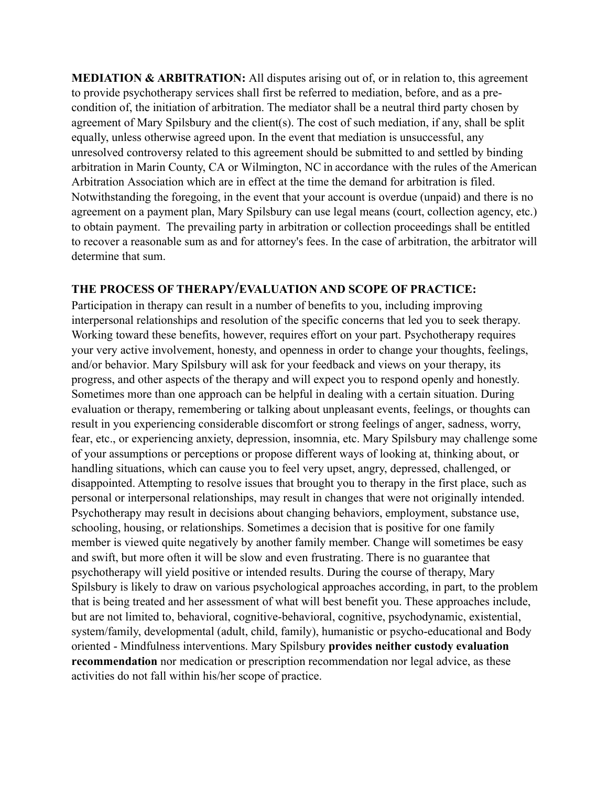**MEDIATION & ARBITRATION:** All disputes arising out of, or in relation to, this agreement to provide psychotherapy services shall first be referred to mediation, before, and as a precondition of, the initiation of arbitration. The mediator shall be a neutral third party chosen by agreement of Mary Spilsbury and the client(s). The cost of such mediation, if any, shall be split equally, unless otherwise agreed upon. In the event that mediation is unsuccessful, any unresolved controversy related to this agreement should be submitted to and settled by binding arbitration in Marin County, CA or Wilmington, NC in accordance with the rules of the American Arbitration Association which are in effect at the time the demand for arbitration is filed. Notwithstanding the foregoing, in the event that your account is overdue (unpaid) and there is no agreement on a payment plan, Mary Spilsbury can use legal means (court, collection agency, etc.) to obtain payment. The prevailing party in arbitration or collection proceedings shall be entitled to recover a reasonable sum as and for attorney's fees. In the case of arbitration, the arbitrator will determine that sum.

## **THE PROCESS OF THERAPY/EVALUATION AND SCOPE OF PRACTICE:**

Participation in therapy can result in a number of benefits to you, including improving interpersonal relationships and resolution of the specific concerns that led you to seek therapy. Working toward these benefits, however, requires effort on your part. Psychotherapy requires your very active involvement, honesty, and openness in order to change your thoughts, feelings, and/or behavior. Mary Spilsbury will ask for your feedback and views on your therapy, its progress, and other aspects of the therapy and will expect you to respond openly and honestly. Sometimes more than one approach can be helpful in dealing with a certain situation. During evaluation or therapy, remembering or talking about unpleasant events, feelings, or thoughts can result in you experiencing considerable discomfort or strong feelings of anger, sadness, worry, fear, etc., or experiencing anxiety, depression, insomnia, etc. Mary Spilsbury may challenge some of your assumptions or perceptions or propose different ways of looking at, thinking about, or handling situations, which can cause you to feel very upset, angry, depressed, challenged, or disappointed. Attempting to resolve issues that brought you to therapy in the first place, such as personal or interpersonal relationships, may result in changes that were not originally intended. Psychotherapy may result in decisions about changing behaviors, employment, substance use, schooling, housing, or relationships. Sometimes a decision that is positive for one family member is viewed quite negatively by another family member. Change will sometimes be easy and swift, but more often it will be slow and even frustrating. There is no guarantee that psychotherapy will yield positive or intended results. During the course of therapy, Mary Spilsbury is likely to draw on various psychological approaches according, in part, to the problem that is being treated and her assessment of what will best benefit you. These approaches include, but are not limited to, behavioral, cognitive-behavioral, cognitive, psychodynamic, existential, system/family, developmental (adult, child, family), humanistic or psycho-educational and Body oriented - Mindfulness interventions. Mary Spilsbury **provides neither custody evaluation recommendation** nor medication or prescription recommendation nor legal advice, as these activities do not fall within his/her scope of practice.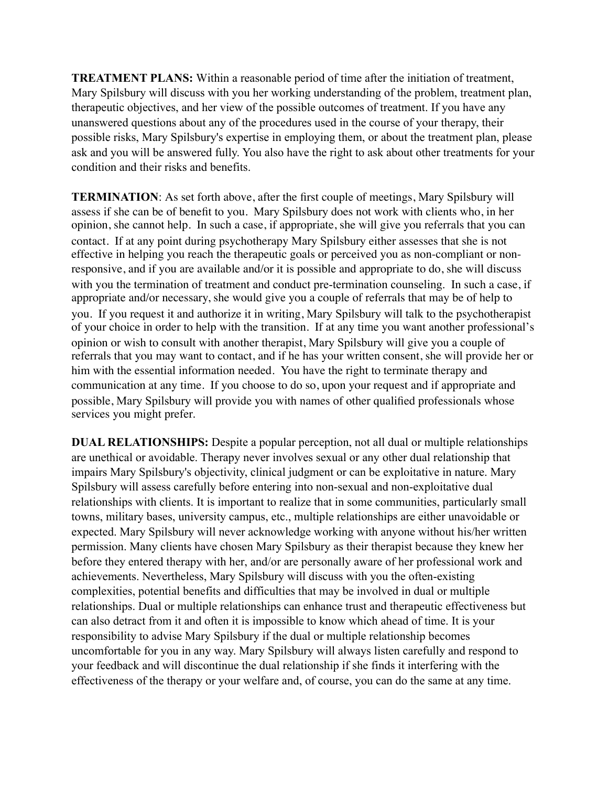**TREATMENT PLANS:** Within a reasonable period of time after the initiation of treatment, Mary Spilsbury will discuss with you her working understanding of the problem, treatment plan, therapeutic objectives, and her view of the possible outcomes of treatment. If you have any unanswered questions about any of the procedures used in the course of your therapy, their possible risks, Mary Spilsbury's expertise in employing them, or about the treatment plan, please ask and you will be answered fully. You also have the right to ask about other treatments for your condition and their risks and benefits.

**TERMINATION**: As set forth above, after the first couple of meetings, Mary Spilsbury will assess if she can be of benefit to you. Mary Spilsbury does not work with clients who, in her opinion, she cannot help. In such a case, if appropriate, she will give you referrals that you can contact. If at any point during psychotherapy Mary Spilsbury either assesses that she is not effective in helping you reach the therapeutic goals or perceived you as non-compliant or nonresponsive, and if you are available and/or it is possible and appropriate to do, she will discuss with you the termination of treatment and conduct pre-termination counseling. In such a case, if appropriate and/or necessary, she would give you a couple of referrals that may be of help to you. If you request it and authorize it in writing, Mary Spilsbury will talk to the psychotherapist of your choice in order to help with the transition. If at any time you want another professional's opinion or wish to consult with another therapist, Mary Spilsbury will give you a couple of referrals that you may want to contact, and if he has your written consent, she will provide her or him with the essential information needed. You have the right to terminate therapy and communication at any time. If you choose to do so, upon your request and if appropriate and possible, Mary Spilsbury will provide you with names of other qualified professionals whose services you might prefer.

**DUAL RELATIONSHIPS:** Despite a popular perception, not all dual or multiple relationships are unethical or avoidable. Therapy never involves sexual or any other dual relationship that impairs Mary Spilsbury's objectivity, clinical judgment or can be exploitative in nature. Mary Spilsbury will assess carefully before entering into non-sexual and non-exploitative dual relationships with clients. It is important to realize that in some communities, particularly small towns, military bases, university campus, etc., multiple relationships are either unavoidable or expected. Mary Spilsbury will never acknowledge working with anyone without his/her written permission. Many clients have chosen Mary Spilsbury as their therapist because they knew her before they entered therapy with her, and/or are personally aware of her professional work and achievements. Nevertheless, Mary Spilsbury will discuss with you the often-existing complexities, potential benefits and difficulties that may be involved in dual or multiple relationships. Dual or multiple relationships can enhance trust and therapeutic effectiveness but can also detract from it and often it is impossible to know which ahead of time. It is your responsibility to advise Mary Spilsbury if the dual or multiple relationship becomes uncomfortable for you in any way. Mary Spilsbury will always listen carefully and respond to your feedback and will discontinue the dual relationship if she finds it interfering with the effectiveness of the therapy or your welfare and, of course, you can do the same at any time.